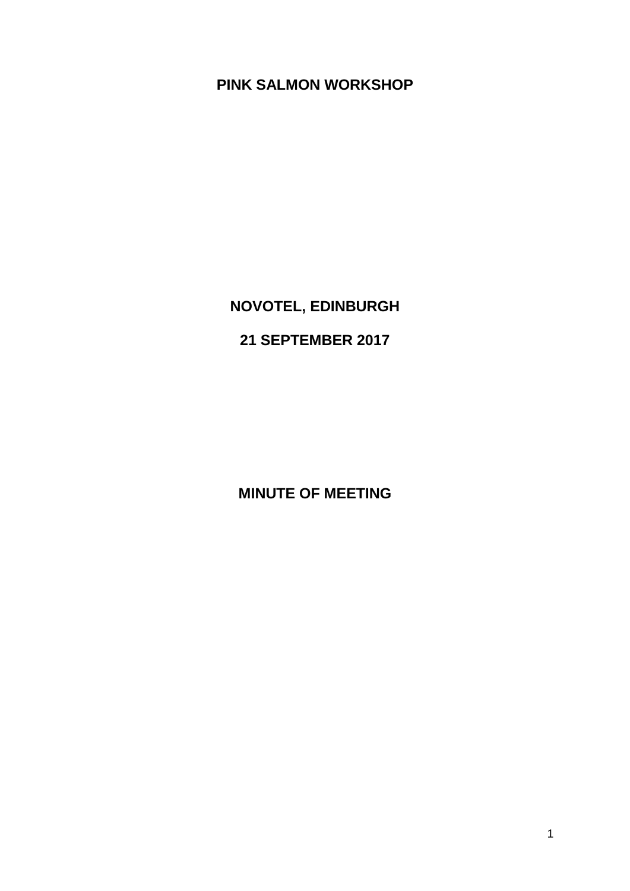## **PINK SALMON WORKSHOP**

# **NOVOTEL, EDINBURGH**

# **21 SEPTEMBER 2017**

**MINUTE OF MEETING**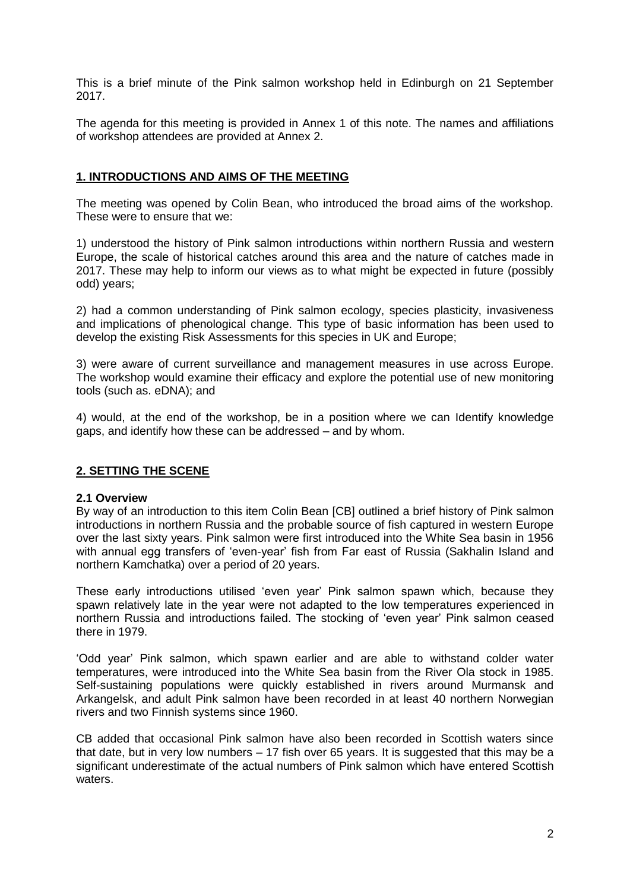This is a brief minute of the Pink salmon workshop held in Edinburgh on 21 September 2017.

The agenda for this meeting is provided in Annex 1 of this note. The names and affiliations of workshop attendees are provided at Annex 2.

## **1. INTRODUCTIONS AND AIMS OF THE MEETING**

The meeting was opened by Colin Bean, who introduced the broad aims of the workshop. These were to ensure that we:

1) understood the history of Pink salmon introductions within northern Russia and western Europe, the scale of historical catches around this area and the nature of catches made in 2017. These may help to inform our views as to what might be expected in future (possibly odd) years;

2) had a common understanding of Pink salmon ecology, species plasticity, invasiveness and implications of phenological change. This type of basic information has been used to develop the existing Risk Assessments for this species in UK and Europe;

3) were aware of current surveillance and management measures in use across Europe. The workshop would examine their efficacy and explore the potential use of new monitoring tools (such as. eDNA); and

4) would, at the end of the workshop, be in a position where we can Identify knowledge gaps, and identify how these can be addressed – and by whom.

## **2. SETTING THE SCENE**

#### **2.1 Overview**

By way of an introduction to this item Colin Bean [CB] outlined a brief history of Pink salmon introductions in northern Russia and the probable source of fish captured in western Europe over the last sixty years. Pink salmon were first introduced into the White Sea basin in 1956 with annual egg transfers of 'even-year' fish from Far east of Russia (Sakhalin Island and northern Kamchatka) over a period of 20 years.

These early introductions utilised 'even year' Pink salmon spawn which, because they spawn relatively late in the year were not adapted to the low temperatures experienced in northern Russia and introductions failed. The stocking of 'even year' Pink salmon ceased there in 1979.

'Odd year' Pink salmon, which spawn earlier and are able to withstand colder water temperatures, were introduced into the White Sea basin from the River Ola stock in 1985. Self-sustaining populations were quickly established in rivers around Murmansk and Arkangelsk, and adult Pink salmon have been recorded in at least 40 northern Norwegian rivers and two Finnish systems since 1960.

CB added that occasional Pink salmon have also been recorded in Scottish waters since that date, but in very low numbers – 17 fish over 65 years. It is suggested that this may be a significant underestimate of the actual numbers of Pink salmon which have entered Scottish waters.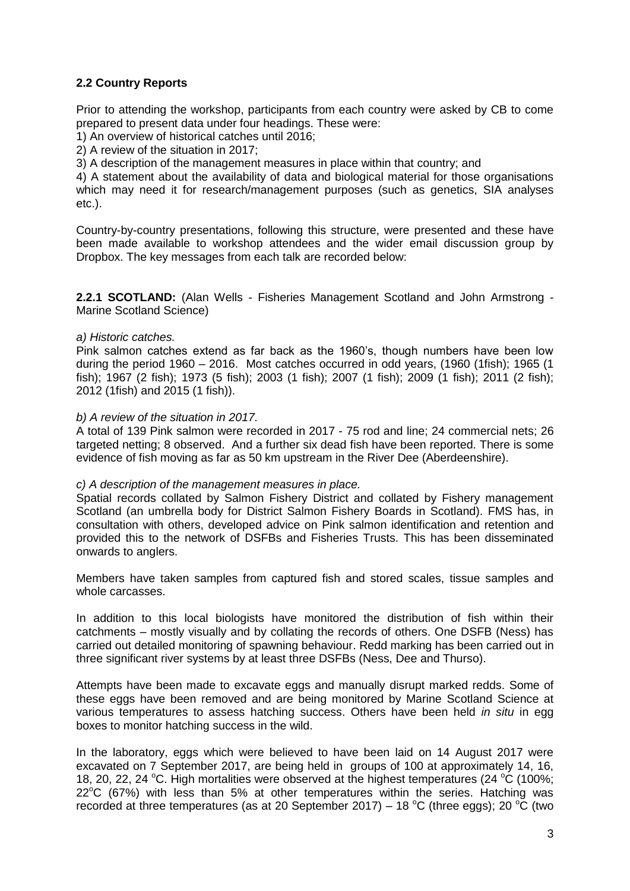## **2.2 Country Reports**

Prior to attending the workshop, participants from each country were asked by CB to come prepared to present data under four headings. These were:

1) An overview of historical catches until 2016;

2) A review of the situation in 2017;

3) A description of the management measures in place within that country; and

4) A statement about the availability of data and biological material for those organisations which may need it for research/management purposes (such as genetics, SIA analyses etc.).

Country-by-country presentations, following this structure, were presented and these have been made available to workshop attendees and the wider email discussion group by Dropbox. The key messages from each talk are recorded below:

**2.2.1 SCOTLAND:** (Alan Wells - Fisheries Management Scotland and John Armstrong - Marine Scotland Science)

#### *a) Historic catches.*

Pink salmon catches extend as far back as the 1960's, though numbers have been low during the period 1960 – 2016. Most catches occurred in odd years, (1960 (1fish); 1965 (1 fish); 1967 (2 fish); 1973 (5 fish); 2003 (1 fish); 2007 (1 fish); 2009 (1 fish); 2011 (2 fish); 2012 (1fish) and 2015 (1 fish)).

#### *b) A review of the situation in 2017.*

A total of 139 Pink salmon were recorded in 2017 - 75 rod and line; 24 commercial nets; 26 targeted netting; 8 observed. And a further six dead fish have been reported. There is some evidence of fish moving as far as 50 km upstream in the River Dee (Aberdeenshire).

#### *c) A description of the management measures in place.*

Spatial records collated by Salmon Fishery District and collated by Fishery management Scotland (an umbrella body for District Salmon Fishery Boards in Scotland). FMS has, in consultation with others, developed advice on Pink salmon identification and retention and provided this to the network of DSFBs and Fisheries Trusts. This has been disseminated onwards to anglers.

Members have taken samples from captured fish and stored scales, tissue samples and whole carcasses.

In addition to this local biologists have monitored the distribution of fish within their catchments – mostly visually and by collating the records of others. One DSFB (Ness) has carried out detailed monitoring of spawning behaviour. Redd marking has been carried out in three significant river systems by at least three DSFBs (Ness, Dee and Thurso).

Attempts have been made to excavate eggs and manually disrupt marked redds. Some of these eggs have been removed and are being monitored by Marine Scotland Science at various temperatures to assess hatching success. Others have been held *in situ* in egg boxes to monitor hatching success in the wild.

In the laboratory, eggs which were believed to have been laid on 14 August 2017 were excavated on 7 September 2017, are being held in groups of 100 at approximately 14, 16, 18, 20, 22, 24 °C. High mortalities were observed at the highest temperatures (24 °C (100%;  $22^{\circ}$ C (67%) with less than 5% at other temperatures within the series. Hatching was recorded at three temperatures (as at 20 September 2017) – 18 °C (three eggs); 20 °C (two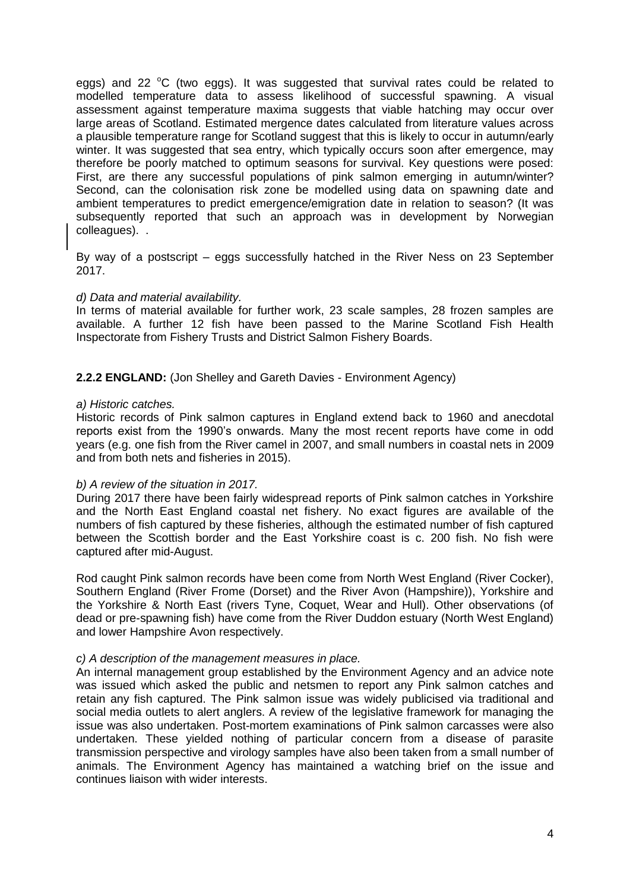eggs) and 22  $\degree$ C (two eggs). It was suggested that survival rates could be related to modelled temperature data to assess likelihood of successful spawning. A visual assessment against temperature maxima suggests that viable hatching may occur over large areas of Scotland. Estimated mergence dates calculated from literature values across a plausible temperature range for Scotland suggest that this is likely to occur in autumn/early winter. It was suggested that sea entry, which typically occurs soon after emergence, may therefore be poorly matched to optimum seasons for survival. Key questions were posed: First, are there any successful populations of pink salmon emerging in autumn/winter? Second, can the colonisation risk zone be modelled using data on spawning date and ambient temperatures to predict emergence/emigration date in relation to season? (It was subsequently reported that such an approach was in development by Norwegian colleagues). .

By way of a postscript – eggs successfully hatched in the River Ness on 23 September 2017.

#### *d) Data and material availability.*

In terms of material available for further work, 23 scale samples, 28 frozen samples are available. A further 12 fish have been passed to the Marine Scotland Fish Health Inspectorate from Fishery Trusts and District Salmon Fishery Boards.

## **2.2.2 ENGLAND:** (Jon Shelley and Gareth Davies - Environment Agency)

#### *a) Historic catches.*

Historic records of Pink salmon captures in England extend back to 1960 and anecdotal reports exist from the 1990's onwards. Many the most recent reports have come in odd years (e.g. one fish from the River camel in 2007, and small numbers in coastal nets in 2009 and from both nets and fisheries in 2015).

#### *b) A review of the situation in 2017.*

During 2017 there have been fairly widespread reports of Pink salmon catches in Yorkshire and the North East England coastal net fishery. No exact figures are available of the numbers of fish captured by these fisheries, although the estimated number of fish captured between the Scottish border and the East Yorkshire coast is c. 200 fish. No fish were captured after mid-August.

Rod caught Pink salmon records have been come from North West England (River Cocker), Southern England (River Frome (Dorset) and the River Avon (Hampshire)), Yorkshire and the Yorkshire & North East (rivers Tyne, Coquet, Wear and Hull). Other observations (of dead or pre-spawning fish) have come from the River Duddon estuary (North West England) and lower Hampshire Avon respectively.

#### *c) A description of the management measures in place.*

An internal management group established by the Environment Agency and an advice note was issued which asked the public and netsmen to report any Pink salmon catches and retain any fish captured. The Pink salmon issue was widely publicised via traditional and social media outlets to alert anglers. A review of the legislative framework for managing the issue was also undertaken. Post-mortem examinations of Pink salmon carcasses were also undertaken. These yielded nothing of particular concern from a disease of parasite transmission perspective and virology samples have also been taken from a small number of animals. The Environment Agency has maintained a watching brief on the issue and continues liaison with wider interests.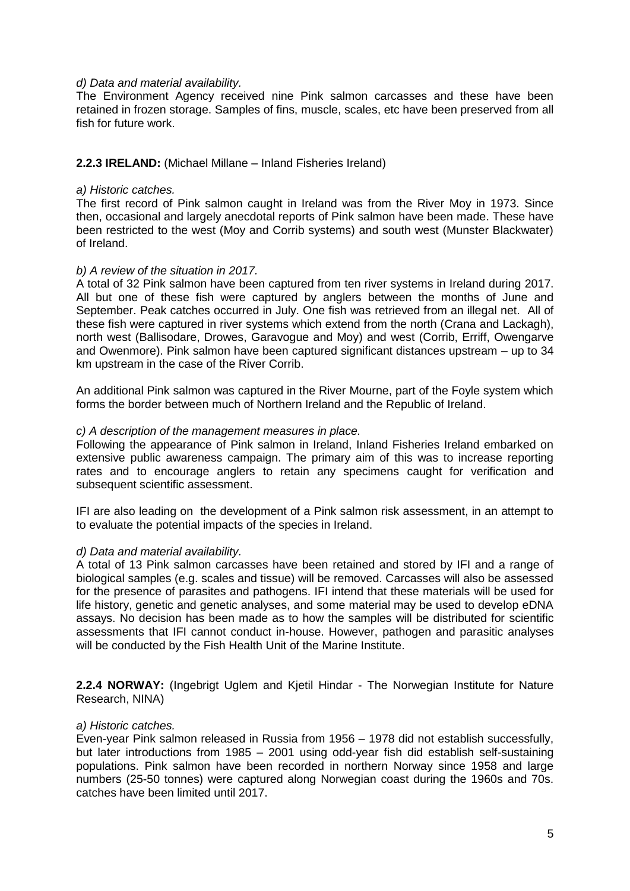#### *d) Data and material availability.*

The Environment Agency received nine Pink salmon carcasses and these have been retained in frozen storage. Samples of fins, muscle, scales, etc have been preserved from all fish for future work.

## **2.2.3 IRELAND:** (Michael Millane – Inland Fisheries Ireland)

#### *a) Historic catches.*

The first record of Pink salmon caught in Ireland was from the River Moy in 1973. Since then, occasional and largely anecdotal reports of Pink salmon have been made. These have been restricted to the west (Moy and Corrib systems) and south west (Munster Blackwater) of Ireland.

#### *b) A review of the situation in 2017.*

A total of 32 Pink salmon have been captured from ten river systems in Ireland during 2017. All but one of these fish were captured by anglers between the months of June and September. Peak catches occurred in July. One fish was retrieved from an illegal net. All of these fish were captured in river systems which extend from the north (Crana and Lackagh), north west (Ballisodare, Drowes, Garavogue and Moy) and west (Corrib, Erriff, Owengarve and Owenmore). Pink salmon have been captured significant distances upstream – up to 34 km upstream in the case of the River Corrib.

An additional Pink salmon was captured in the River Mourne, part of the Foyle system which forms the border between much of Northern Ireland and the Republic of Ireland.

#### *c) A description of the management measures in place.*

Following the appearance of Pink salmon in Ireland, Inland Fisheries Ireland embarked on extensive public awareness campaign. The primary aim of this was to increase reporting rates and to encourage anglers to retain any specimens caught for verification and subsequent scientific assessment.

IFI are also leading on the development of a Pink salmon risk assessment, in an attempt to to evaluate the potential impacts of the species in Ireland.

#### *d) Data and material availability.*

A total of 13 Pink salmon carcasses have been retained and stored by IFI and a range of biological samples (e.g. scales and tissue) will be removed. Carcasses will also be assessed for the presence of parasites and pathogens. IFI intend that these materials will be used for life history, genetic and genetic analyses, and some material may be used to develop eDNA assays. No decision has been made as to how the samples will be distributed for scientific assessments that IFI cannot conduct in-house. However, pathogen and parasitic analyses will be conducted by the Fish Health Unit of the Marine Institute.

**2.2.4 NORWAY:** (Ingebrigt Uglem and Kjetil Hindar - The Norwegian Institute for Nature Research, NINA)

#### *a) Historic catches.*

Even-year Pink salmon released in Russia from 1956 – 1978 did not establish successfully, but later introductions from 1985 – 2001 using odd-year fish did establish self-sustaining populations. Pink salmon have been recorded in northern Norway since 1958 and large numbers (25-50 tonnes) were captured along Norwegian coast during the 1960s and 70s. catches have been limited until 2017.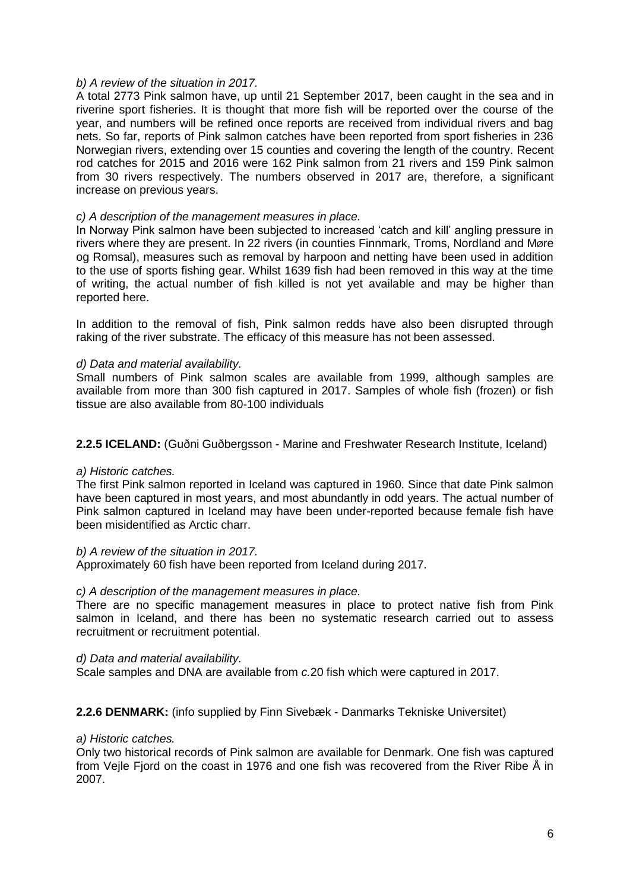#### *b) A review of the situation in 2017.*

A total 2773 Pink salmon have, up until 21 September 2017, been caught in the sea and in riverine sport fisheries. It is thought that more fish will be reported over the course of the year, and numbers will be refined once reports are received from individual rivers and bag nets. So far, reports of Pink salmon catches have been reported from sport fisheries in 236 Norwegian rivers, extending over 15 counties and covering the length of the country. Recent rod catches for 2015 and 2016 were 162 Pink salmon from 21 rivers and 159 Pink salmon from 30 rivers respectively. The numbers observed in 2017 are, therefore, a significant increase on previous years.

## *c) A description of the management measures in place.*

In Norway Pink salmon have been subjected to increased 'catch and kill' angling pressure in rivers where they are present. In 22 rivers (in counties Finnmark, Troms, Nordland and Møre og Romsal), measures such as removal by harpoon and netting have been used in addition to the use of sports fishing gear. Whilst 1639 fish had been removed in this way at the time of writing, the actual number of fish killed is not yet available and may be higher than reported here.

In addition to the removal of fish, Pink salmon redds have also been disrupted through raking of the river substrate. The efficacy of this measure has not been assessed.

## *d) Data and material availability.*

Small numbers of Pink salmon scales are available from 1999, although samples are available from more than 300 fish captured in 2017. Samples of whole fish (frozen) or fish tissue are also available from 80-100 individuals

## **2.2.5 ICELAND:** (Guðni Guðbergsson - Marine and Freshwater Research Institute, Iceland)

#### *a) Historic catches.*

The first Pink salmon reported in Iceland was captured in 1960. Since that date Pink salmon have been captured in most years, and most abundantly in odd years. The actual number of Pink salmon captured in Iceland may have been under-reported because female fish have been misidentified as Arctic charr.

#### *b) A review of the situation in 2017.*

Approximately 60 fish have been reported from Iceland during 2017.

#### *c) A description of the management measures in place.*

There are no specific management measures in place to protect native fish from Pink salmon in Iceland, and there has been no systematic research carried out to assess recruitment or recruitment potential.

#### *d) Data and material availability.*

Scale samples and DNA are available from *c.*20 fish which were captured in 2017.

## **2.2.6 DENMARK:** (info supplied by Finn Sivebæk - Danmarks Tekniske Universitet)

#### *a) Historic catches.*

Only two historical records of Pink salmon are available for Denmark. One fish was captured from Veile Fiord on the coast in 1976 and one fish was recovered from the River Ribe Å in 2007.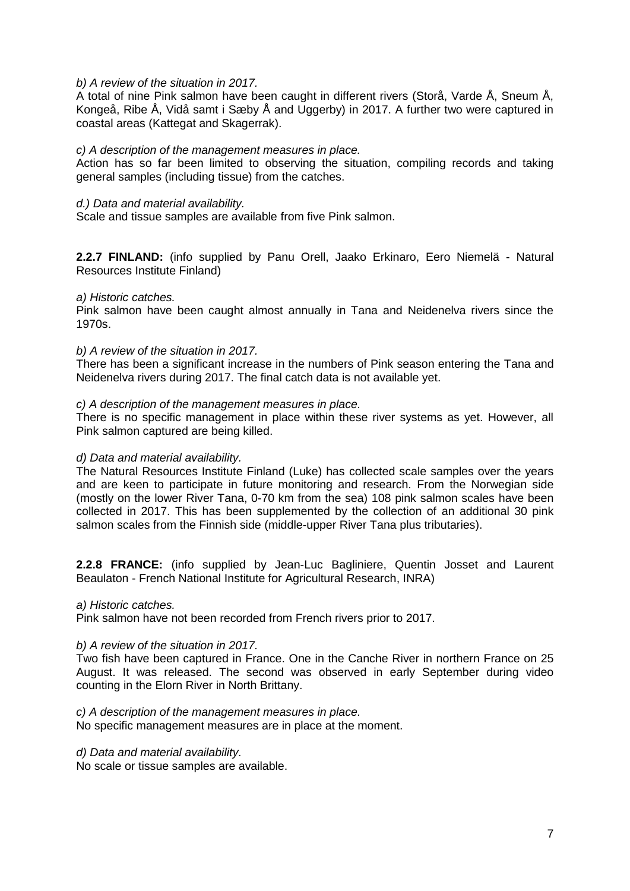#### *b) A review of the situation in 2017.*

A total of nine Pink salmon have been caught in different rivers (Storå, Varde Å, Sneum Å, Kongeå, Ribe Å, Vidå samt i Sæby Å and Uggerby) in 2017. A further two were captured in coastal areas (Kattegat and Skagerrak).

#### *c) A description of the management measures in place.*

Action has so far been limited to observing the situation, compiling records and taking general samples (including tissue) from the catches.

#### *d.) Data and material availability.*

Scale and tissue samples are available from five Pink salmon.

**2.2.7 FINLAND:** (info supplied by Panu Orell, Jaako Erkinaro, Eero Niemelä - Natural Resources Institute Finland)

#### *a) Historic catches.*

Pink salmon have been caught almost annually in Tana and Neidenelva rivers since the 1970s.

#### *b) A review of the situation in 2017.*

There has been a significant increase in the numbers of Pink season entering the Tana and Neidenelva rivers during 2017. The final catch data is not available yet.

#### *c) A description of the management measures in place.*

There is no specific management in place within these river systems as yet. However, all Pink salmon captured are being killed.

#### *d) Data and material availability.*

The Natural Resources Institute Finland (Luke) has collected scale samples over the years and are keen to participate in future monitoring and research. From the Norwegian side (mostly on the lower River Tana, 0-70 km from the sea) 108 pink salmon scales have been collected in 2017. This has been supplemented by the collection of an additional 30 pink salmon scales from the Finnish side (middle-upper River Tana plus tributaries).

**2.2.8 FRANCE:** (info supplied by Jean-Luc Bagliniere, Quentin Josset and Laurent Beaulaton - French National Institute for Agricultural Research, INRA)

#### *a) Historic catches.*

Pink salmon have not been recorded from French rivers prior to 2017.

#### *b) A review of the situation in 2017.*

Two fish have been captured in France. One in the Canche River in northern France on 25 August. It was released. The second was observed in early September during video counting in the Elorn River in North Brittany.

#### *c) A description of the management measures in place.*

No specific management measures are in place at the moment.

#### *d) Data and material availability.*

No scale or tissue samples are available.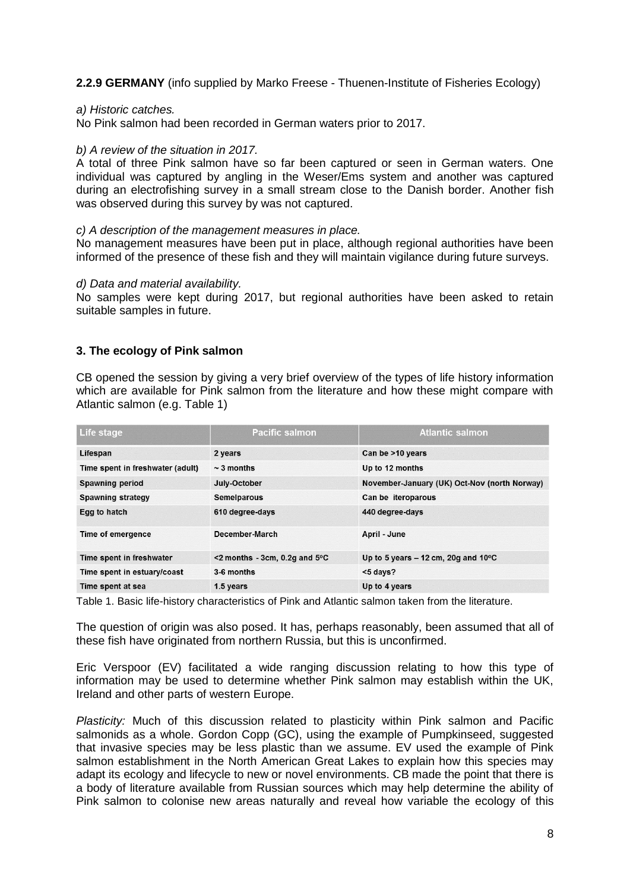**2.2.9 GERMANY** (info supplied by Marko Freese - Thuenen-Institute of Fisheries Ecology)

## *a) Historic catches.*

No Pink salmon had been recorded in German waters prior to 2017.

## *b) A review of the situation in 2017.*

A total of three Pink salmon have so far been captured or seen in German waters. One individual was captured by angling in the Weser/Ems system and another was captured during an electrofishing survey in a small stream close to the Danish border. Another fish was observed during this survey by was not captured.

#### *c) A description of the management measures in place.*

No management measures have been put in place, although regional authorities have been informed of the presence of these fish and they will maintain vigilance during future surveys.

#### *d) Data and material availability.*

No samples were kept during 2017, but regional authorities have been asked to retain suitable samples in future.

## **3. The ecology of Pink salmon**

CB opened the session by giving a very brief overview of the types of life history information which are available for Pink salmon from the literature and how these might compare with Atlantic salmon (e.g. Table 1)

| Life stage                       | <b>Pacific salmon</b>                      | <b>Atlantic salmon</b>                          |
|----------------------------------|--------------------------------------------|-------------------------------------------------|
| Lifespan                         | 2 years                                    | Can be >10 years                                |
| Time spent in freshwater (adult) | $\sim$ 3 months                            | Up to 12 months                                 |
| <b>Spawning period</b>           | July-October                               | November-January (UK) Oct-Nov (north Norway)    |
| <b>Spawning strategy</b>         | Semelparous                                | Can be iteroparous                              |
| Egg to hatch                     | 610 degree-days                            | 440 degree-days                                 |
| Time of emergence                | December-March                             | April - June                                    |
| Time spent in freshwater         | $<$ 2 months - 3cm, 0.2q and 5 $\degree$ C | Up to 5 years $-$ 12 cm, 20g and 10 $\degree$ C |
| Time spent in estuary/coast      | 3-6 months                                 | $<$ 5 days?                                     |
| Time spent at sea                | 1.5 years                                  | Up to 4 years                                   |

Table 1. Basic life-history characteristics of Pink and Atlantic salmon taken from the literature.

The question of origin was also posed. It has, perhaps reasonably, been assumed that all of these fish have originated from northern Russia, but this is unconfirmed.

Eric Verspoor (EV) facilitated a wide ranging discussion relating to how this type of information may be used to determine whether Pink salmon may establish within the UK, Ireland and other parts of western Europe.

*Plasticity:* Much of this discussion related to plasticity within Pink salmon and Pacific salmonids as a whole. Gordon Copp (GC), using the example of Pumpkinseed, suggested that invasive species may be less plastic than we assume. EV used the example of Pink salmon establishment in the North American Great Lakes to explain how this species may adapt its ecology and lifecycle to new or novel environments. CB made the point that there is a body of literature available from Russian sources which may help determine the ability of Pink salmon to colonise new areas naturally and reveal how variable the ecology of this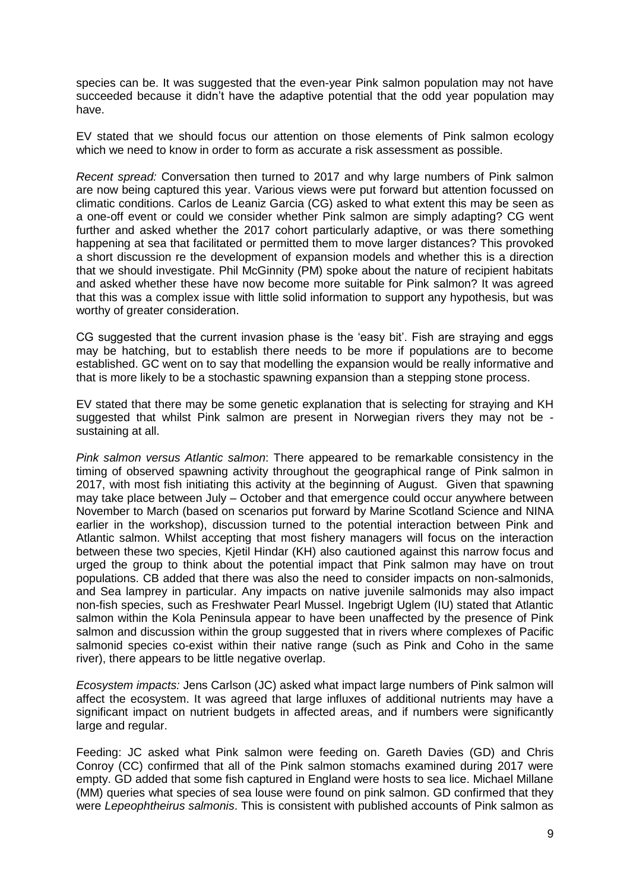species can be. It was suggested that the even-year Pink salmon population may not have succeeded because it didn't have the adaptive potential that the odd year population may have.

EV stated that we should focus our attention on those elements of Pink salmon ecology which we need to know in order to form as accurate a risk assessment as possible.

*Recent spread:* Conversation then turned to 2017 and why large numbers of Pink salmon are now being captured this year. Various views were put forward but attention focussed on climatic conditions. Carlos de Leaniz Garcia (CG) asked to what extent this may be seen as a one-off event or could we consider whether Pink salmon are simply adapting? CG went further and asked whether the 2017 cohort particularly adaptive, or was there something happening at sea that facilitated or permitted them to move larger distances? This provoked a short discussion re the development of expansion models and whether this is a direction that we should investigate. Phil McGinnity (PM) spoke about the nature of recipient habitats and asked whether these have now become more suitable for Pink salmon? It was agreed that this was a complex issue with little solid information to support any hypothesis, but was worthy of greater consideration.

CG suggested that the current invasion phase is the 'easy bit'. Fish are straying and eggs may be hatching, but to establish there needs to be more if populations are to become established. GC went on to say that modelling the expansion would be really informative and that is more likely to be a stochastic spawning expansion than a stepping stone process.

EV stated that there may be some genetic explanation that is selecting for straying and KH suggested that whilst Pink salmon are present in Norwegian rivers they may not be sustaining at all.

*Pink salmon versus Atlantic salmon*: There appeared to be remarkable consistency in the timing of observed spawning activity throughout the geographical range of Pink salmon in 2017, with most fish initiating this activity at the beginning of August. Given that spawning may take place between July – October and that emergence could occur anywhere between November to March (based on scenarios put forward by Marine Scotland Science and NINA earlier in the workshop), discussion turned to the potential interaction between Pink and Atlantic salmon. Whilst accepting that most fishery managers will focus on the interaction between these two species, Kjetil Hindar (KH) also cautioned against this narrow focus and urged the group to think about the potential impact that Pink salmon may have on trout populations. CB added that there was also the need to consider impacts on non-salmonids, and Sea lamprey in particular. Any impacts on native juvenile salmonids may also impact non-fish species, such as Freshwater Pearl Mussel. Ingebrigt Uglem (IU) stated that Atlantic salmon within the Kola Peninsula appear to have been unaffected by the presence of Pink salmon and discussion within the group suggested that in rivers where complexes of Pacific salmonid species co-exist within their native range (such as Pink and Coho in the same river), there appears to be little negative overlap.

*Ecosystem impacts:* Jens Carlson (JC) asked what impact large numbers of Pink salmon will affect the ecosystem. It was agreed that large influxes of additional nutrients may have a significant impact on nutrient budgets in affected areas, and if numbers were significantly large and regular.

Feeding: JC asked what Pink salmon were feeding on. Gareth Davies (GD) and Chris Conroy (CC) confirmed that all of the Pink salmon stomachs examined during 2017 were empty. GD added that some fish captured in England were hosts to sea lice. Michael Millane (MM) queries what species of sea louse were found on pink salmon. GD confirmed that they were *Lepeophtheirus salmonis*. This is consistent with published accounts of Pink salmon as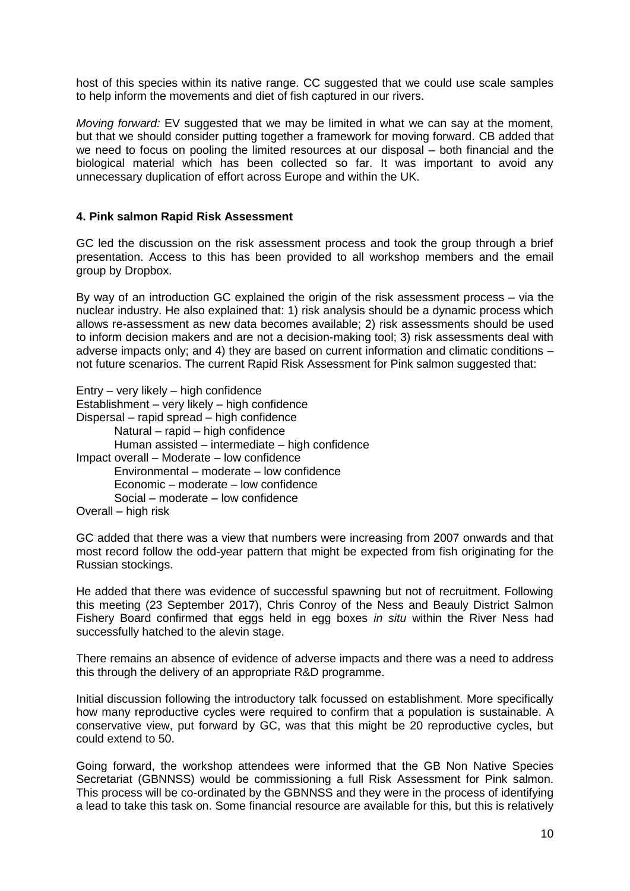host of this species within its native range. CC suggested that we could use scale samples to help inform the movements and diet of fish captured in our rivers.

*Moving forward:* EV suggested that we may be limited in what we can say at the moment, but that we should consider putting together a framework for moving forward. CB added that we need to focus on pooling the limited resources at our disposal – both financial and the biological material which has been collected so far. It was important to avoid any unnecessary duplication of effort across Europe and within the UK.

## **4. Pink salmon Rapid Risk Assessment**

GC led the discussion on the risk assessment process and took the group through a brief presentation. Access to this has been provided to all workshop members and the email group by Dropbox.

By way of an introduction GC explained the origin of the risk assessment process – via the nuclear industry. He also explained that: 1) risk analysis should be a dynamic process which allows re-assessment as new data becomes available; 2) risk assessments should be used to inform decision makers and are not a decision-making tool; 3) risk assessments deal with adverse impacts only; and 4) they are based on current information and climatic conditions – not future scenarios. The current Rapid Risk Assessment for Pink salmon suggested that:

Entry – very likely – high confidence Establishment – very likely – high confidence Dispersal – rapid spread – high confidence Natural – rapid – high confidence Human assisted – intermediate – high confidence Impact overall – Moderate – low confidence Environmental – moderate – low confidence Economic – moderate – low confidence Social – moderate – low confidence Overall – high risk

GC added that there was a view that numbers were increasing from 2007 onwards and that most record follow the odd-year pattern that might be expected from fish originating for the Russian stockings.

He added that there was evidence of successful spawning but not of recruitment. Following this meeting (23 September 2017), Chris Conroy of the Ness and Beauly District Salmon Fishery Board confirmed that eggs held in egg boxes *in situ* within the River Ness had successfully hatched to the alevin stage.

There remains an absence of evidence of adverse impacts and there was a need to address this through the delivery of an appropriate R&D programme.

Initial discussion following the introductory talk focussed on establishment. More specifically how many reproductive cycles were required to confirm that a population is sustainable. A conservative view, put forward by GC, was that this might be 20 reproductive cycles, but could extend to 50.

Going forward, the workshop attendees were informed that the GB Non Native Species Secretariat (GBNNSS) would be commissioning a full Risk Assessment for Pink salmon. This process will be co-ordinated by the GBNNSS and they were in the process of identifying a lead to take this task on. Some financial resource are available for this, but this is relatively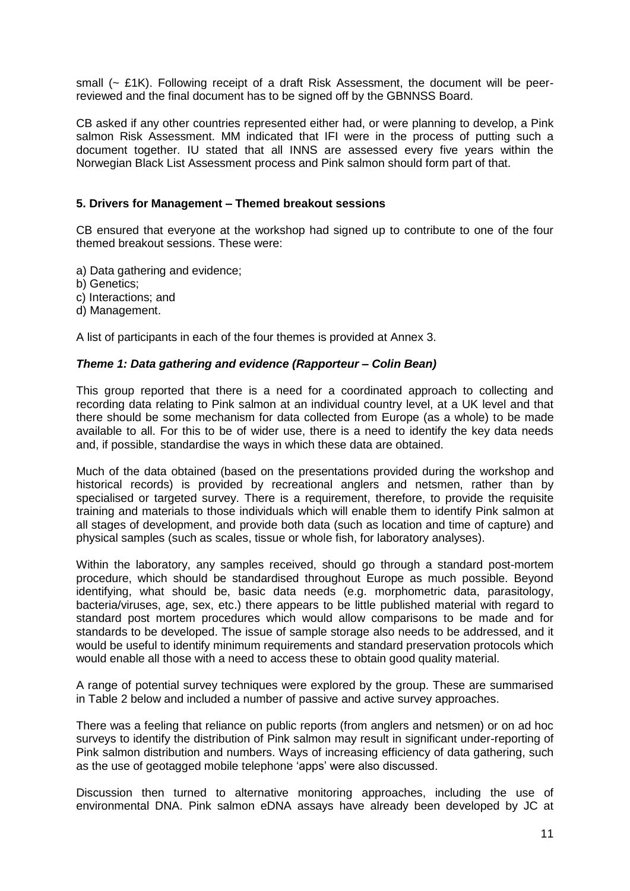small (~ £1K). Following receipt of a draft Risk Assessment, the document will be peerreviewed and the final document has to be signed off by the GBNNSS Board.

CB asked if any other countries represented either had, or were planning to develop, a Pink salmon Risk Assessment. MM indicated that IFI were in the process of putting such a document together. IU stated that all INNS are assessed every five years within the Norwegian Black List Assessment process and Pink salmon should form part of that.

## **5. Drivers for Management – Themed breakout sessions**

CB ensured that everyone at the workshop had signed up to contribute to one of the four themed breakout sessions. These were:

a) Data gathering and evidence;

b) Genetics;

c) Interactions; and

d) Management.

A list of participants in each of the four themes is provided at Annex 3.

#### *Theme 1: Data gathering and evidence (Rapporteur – Colin Bean)*

This group reported that there is a need for a coordinated approach to collecting and recording data relating to Pink salmon at an individual country level, at a UK level and that there should be some mechanism for data collected from Europe (as a whole) to be made available to all. For this to be of wider use, there is a need to identify the key data needs and, if possible, standardise the ways in which these data are obtained.

Much of the data obtained (based on the presentations provided during the workshop and historical records) is provided by recreational anglers and netsmen, rather than by specialised or targeted survey. There is a requirement, therefore, to provide the requisite training and materials to those individuals which will enable them to identify Pink salmon at all stages of development, and provide both data (such as location and time of capture) and physical samples (such as scales, tissue or whole fish, for laboratory analyses).

Within the laboratory, any samples received, should go through a standard post-mortem procedure, which should be standardised throughout Europe as much possible. Beyond identifying, what should be, basic data needs (e.g. morphometric data, parasitology, bacteria/viruses, age, sex, etc.) there appears to be little published material with regard to standard post mortem procedures which would allow comparisons to be made and for standards to be developed. The issue of sample storage also needs to be addressed, and it would be useful to identify minimum requirements and standard preservation protocols which would enable all those with a need to access these to obtain good quality material.

A range of potential survey techniques were explored by the group. These are summarised in Table 2 below and included a number of passive and active survey approaches.

There was a feeling that reliance on public reports (from anglers and netsmen) or on ad hoc surveys to identify the distribution of Pink salmon may result in significant under-reporting of Pink salmon distribution and numbers. Ways of increasing efficiency of data gathering, such as the use of geotagged mobile telephone 'apps' were also discussed.

Discussion then turned to alternative monitoring approaches, including the use of environmental DNA. Pink salmon eDNA assays have already been developed by JC at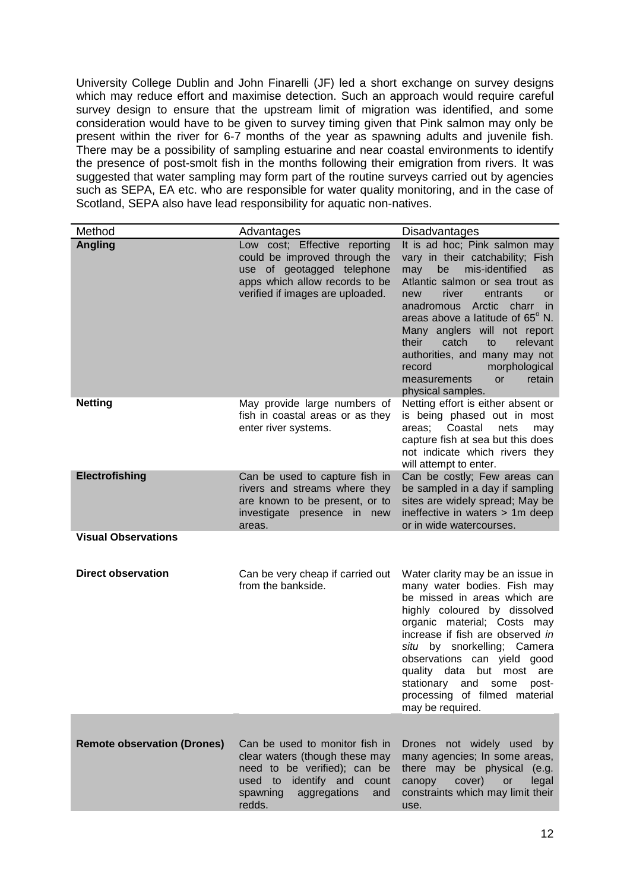University College Dublin and John Finarelli (JF) led a short exchange on survey designs which may reduce effort and maximise detection. Such an approach would require careful survey design to ensure that the upstream limit of migration was identified, and some consideration would have to be given to survey timing given that Pink salmon may only be present within the river for 6-7 months of the year as spawning adults and juvenile fish. There may be a possibility of sampling estuarine and near coastal environments to identify the presence of post-smolt fish in the months following their emigration from rivers. It was suggested that water sampling may form part of the routine surveys carried out by agencies such as SEPA, EA etc. who are responsible for water quality monitoring, and in the case of Scotland, SEPA also have lead responsibility for aquatic non-natives.

| Method                             | Advantages                                                                                                                                                                  | <b>Disadvantages</b>                                                                                                                                                                                                                                                                                                                                                                                                                            |
|------------------------------------|-----------------------------------------------------------------------------------------------------------------------------------------------------------------------------|-------------------------------------------------------------------------------------------------------------------------------------------------------------------------------------------------------------------------------------------------------------------------------------------------------------------------------------------------------------------------------------------------------------------------------------------------|
| <b>Angling</b>                     | Low cost; Effective reporting<br>could be improved through the<br>use of geotagged telephone<br>apps which allow records to be<br>verified if images are uploaded.          | It is ad hoc; Pink salmon may<br>vary in their catchability; Fish<br>mis-identified<br>may<br>be<br>as<br>Atlantic salmon or sea trout as<br>river<br>entrants<br>new<br><b>or</b><br>Arctic<br>anadromous<br>charr in<br>areas above a latitude of 65° N.<br>Many anglers will not report<br>their<br>catch<br>relevant<br>to<br>authorities, and many may not<br>record<br>morphological<br>retain<br>measurements<br>or<br>physical samples. |
| <b>Netting</b>                     | May provide large numbers of<br>fish in coastal areas or as they<br>enter river systems.                                                                                    | Netting effort is either absent or<br>is being phased out in most<br>Coastal<br>areas:<br>nets<br>may<br>capture fish at sea but this does<br>not indicate which rivers they<br>will attempt to enter.                                                                                                                                                                                                                                          |
| Electrofishing                     | Can be used to capture fish in<br>rivers and streams where they<br>are known to be present, or to<br>investigate presence in new<br>areas.                                  | Can be costly; Few areas can<br>be sampled in a day if sampling<br>sites are widely spread; May be<br>ineffective in waters $> 1m$ deep<br>or in wide watercourses.                                                                                                                                                                                                                                                                             |
| <b>Visual Observations</b>         |                                                                                                                                                                             |                                                                                                                                                                                                                                                                                                                                                                                                                                                 |
| <b>Direct observation</b>          | Can be very cheap if carried out<br>from the bankside.                                                                                                                      | Water clarity may be an issue in<br>many water bodies. Fish may<br>be missed in areas which are<br>highly coloured by dissolved<br>organic material; Costs may<br>increase if fish are observed in<br>situ by snorkelling; Camera<br>observations can yield good<br>quality data but most<br>are<br>stationary<br>and some<br>post-<br>processing of filmed material<br>may be required.                                                        |
|                                    |                                                                                                                                                                             |                                                                                                                                                                                                                                                                                                                                                                                                                                                 |
| <b>Remote observation (Drones)</b> | Can be used to monitor fish in<br>clear waters (though these may<br>need to be verified); can be<br>used to identify and count<br>spawning<br>aggregations<br>and<br>redds. | Drones not widely used by<br>many agencies; In some areas,<br>there may be physical (e.g.<br>canopy<br>cover)<br>legal<br>or<br>constraints which may limit their<br>use.                                                                                                                                                                                                                                                                       |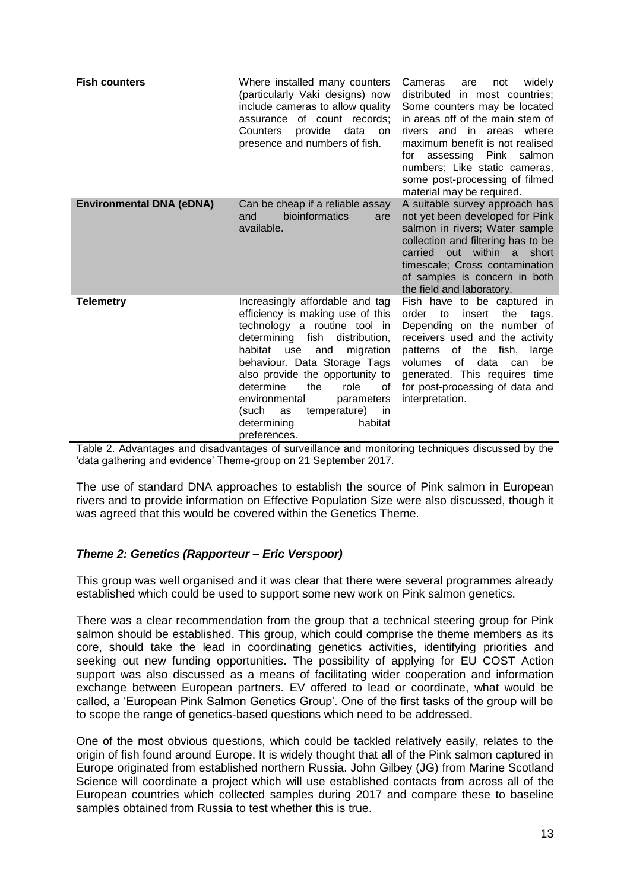| <b>Fish counters</b>            | Where installed many counters<br>(particularly Vaki designs) now<br>include cameras to allow quality<br>assurance of count records:<br>provide<br>Counters<br>data<br>on<br>presence and numbers of fish.                                                                                                                                                                                      | Cameras<br>not<br>widely<br>are<br>distributed<br>in most countries;<br>Some counters may be located<br>in areas off of the main stem of<br>rivers and in areas where<br>maximum benefit is not realised<br>assessing Pink salmon<br>for<br>numbers; Like static cameras,<br>some post-processing of filmed<br>material may be required. |
|---------------------------------|------------------------------------------------------------------------------------------------------------------------------------------------------------------------------------------------------------------------------------------------------------------------------------------------------------------------------------------------------------------------------------------------|------------------------------------------------------------------------------------------------------------------------------------------------------------------------------------------------------------------------------------------------------------------------------------------------------------------------------------------|
| <b>Environmental DNA (eDNA)</b> | Can be cheap if a reliable assay<br>bioinformatics<br>and<br>are<br>available.                                                                                                                                                                                                                                                                                                                 | A suitable survey approach has<br>not yet been developed for Pink<br>salmon in rivers; Water sample<br>collection and filtering has to be<br>within<br>carried<br>out<br>short<br>a -<br>timescale; Cross contamination<br>of samples is concern in both<br>the field and laboratory.                                                    |
| <b>Telemetry</b>                | Increasingly affordable and tag<br>efficiency is making use of this<br>technology a routine tool in<br>determining fish<br>distribution,<br>habitat<br>use<br>and<br>migration<br>behaviour. Data Storage Tags<br>also provide the opportunity to<br>determine<br>the<br>role<br>of<br>environmental<br>parameters<br>temperature) in<br>(such<br>as<br>determining<br>habitat<br>preferences. | Fish have to be captured in<br>order<br>to<br>insert<br>the<br>tags.<br>Depending on the number of<br>receivers used and the activity<br>the<br>fish,<br>patterns<br>of<br>large<br>of<br>data<br>volumes<br>be<br>can<br>generated. This requires time<br>for post-processing of data and<br>interpretation.                            |

Table 2. Advantages and disadvantages of surveillance and monitoring techniques discussed by the 'data gathering and evidence' Theme-group on 21 September 2017.

The use of standard DNA approaches to establish the source of Pink salmon in European rivers and to provide information on Effective Population Size were also discussed, though it was agreed that this would be covered within the Genetics Theme.

## *Theme 2: Genetics (Rapporteur – Eric Verspoor)*

This group was well organised and it was clear that there were several programmes already established which could be used to support some new work on Pink salmon genetics.

There was a clear recommendation from the group that a technical steering group for Pink salmon should be established. This group, which could comprise the theme members as its core, should take the lead in coordinating genetics activities, identifying priorities and seeking out new funding opportunities. The possibility of applying for EU COST Action support was also discussed as a means of facilitating wider cooperation and information exchange between European partners. EV offered to lead or coordinate, what would be called, a 'European Pink Salmon Genetics Group'. One of the first tasks of the group will be to scope the range of genetics-based questions which need to be addressed.

One of the most obvious questions, which could be tackled relatively easily, relates to the origin of fish found around Europe. It is widely thought that all of the Pink salmon captured in Europe originated from established northern Russia. John Gilbey (JG) from Marine Scotland Science will coordinate a project which will use established contacts from across all of the European countries which collected samples during 2017 and compare these to baseline samples obtained from Russia to test whether this is true.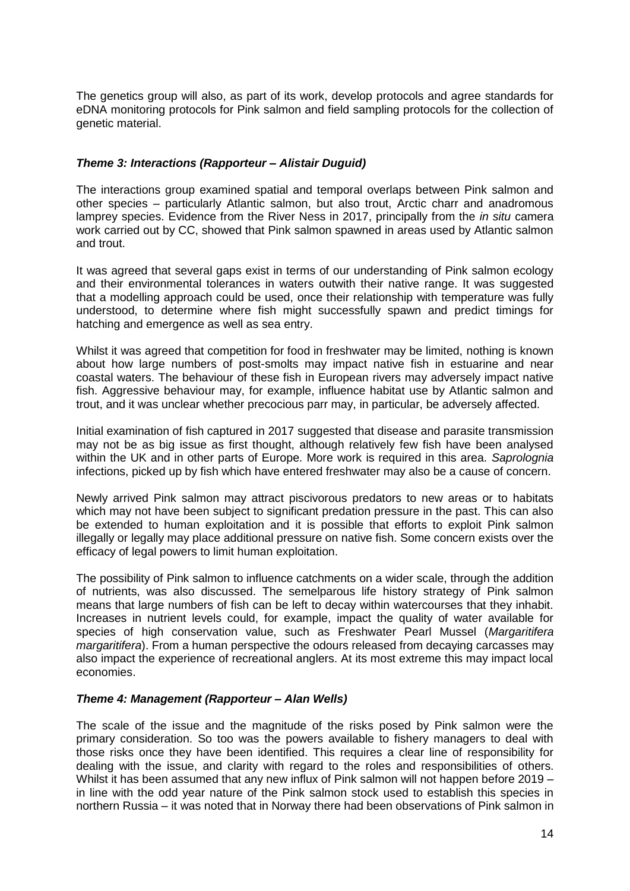The genetics group will also, as part of its work, develop protocols and agree standards for eDNA monitoring protocols for Pink salmon and field sampling protocols for the collection of genetic material.

## *Theme 3: Interactions (Rapporteur – Alistair Duguid)*

The interactions group examined spatial and temporal overlaps between Pink salmon and other species – particularly Atlantic salmon, but also trout, Arctic charr and anadromous lamprey species. Evidence from the River Ness in 2017, principally from the *in situ* camera work carried out by CC, showed that Pink salmon spawned in areas used by Atlantic salmon and trout.

It was agreed that several gaps exist in terms of our understanding of Pink salmon ecology and their environmental tolerances in waters outwith their native range. It was suggested that a modelling approach could be used, once their relationship with temperature was fully understood, to determine where fish might successfully spawn and predict timings for hatching and emergence as well as sea entry.

Whilst it was agreed that competition for food in freshwater may be limited, nothing is known about how large numbers of post-smolts may impact native fish in estuarine and near coastal waters. The behaviour of these fish in European rivers may adversely impact native fish. Aggressive behaviour may, for example, influence habitat use by Atlantic salmon and trout, and it was unclear whether precocious parr may, in particular, be adversely affected.

Initial examination of fish captured in 2017 suggested that disease and parasite transmission may not be as big issue as first thought, although relatively few fish have been analysed within the UK and in other parts of Europe. More work is required in this area. *Saprolognia* infections, picked up by fish which have entered freshwater may also be a cause of concern.

Newly arrived Pink salmon may attract piscivorous predators to new areas or to habitats which may not have been subject to significant predation pressure in the past. This can also be extended to human exploitation and it is possible that efforts to exploit Pink salmon illegally or legally may place additional pressure on native fish. Some concern exists over the efficacy of legal powers to limit human exploitation.

The possibility of Pink salmon to influence catchments on a wider scale, through the addition of nutrients, was also discussed. The semelparous life history strategy of Pink salmon means that large numbers of fish can be left to decay within watercourses that they inhabit. Increases in nutrient levels could, for example, impact the quality of water available for species of high conservation value, such as Freshwater Pearl Mussel (*Margaritifera margaritifera*). From a human perspective the odours released from decaying carcasses may also impact the experience of recreational anglers. At its most extreme this may impact local economies.

## *Theme 4: Management (Rapporteur – Alan Wells)*

The scale of the issue and the magnitude of the risks posed by Pink salmon were the primary consideration. So too was the powers available to fishery managers to deal with those risks once they have been identified. This requires a clear line of responsibility for dealing with the issue, and clarity with regard to the roles and responsibilities of others. Whilst it has been assumed that any new influx of Pink salmon will not happen before 2019 – in line with the odd year nature of the Pink salmon stock used to establish this species in northern Russia – it was noted that in Norway there had been observations of Pink salmon in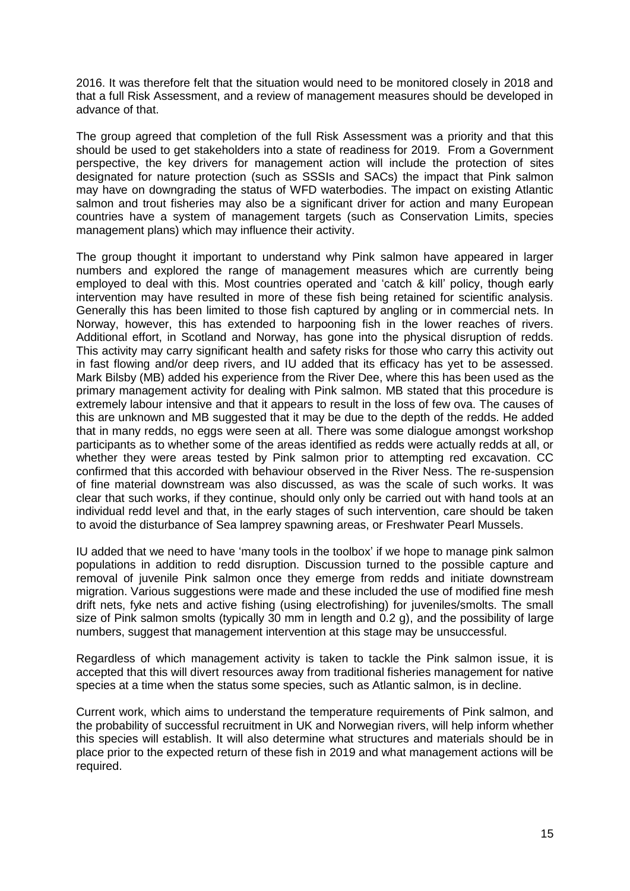2016. It was therefore felt that the situation would need to be monitored closely in 2018 and that a full Risk Assessment, and a review of management measures should be developed in advance of that.

The group agreed that completion of the full Risk Assessment was a priority and that this should be used to get stakeholders into a state of readiness for 2019. From a Government perspective, the key drivers for management action will include the protection of sites designated for nature protection (such as SSSIs and SACs) the impact that Pink salmon may have on downgrading the status of WFD waterbodies. The impact on existing Atlantic salmon and trout fisheries may also be a significant driver for action and many European countries have a system of management targets (such as Conservation Limits, species management plans) which may influence their activity.

The group thought it important to understand why Pink salmon have appeared in larger numbers and explored the range of management measures which are currently being employed to deal with this. Most countries operated and 'catch & kill' policy, though early intervention may have resulted in more of these fish being retained for scientific analysis. Generally this has been limited to those fish captured by angling or in commercial nets. In Norway, however, this has extended to harpooning fish in the lower reaches of rivers. Additional effort, in Scotland and Norway, has gone into the physical disruption of redds. This activity may carry significant health and safety risks for those who carry this activity out in fast flowing and/or deep rivers, and IU added that its efficacy has yet to be assessed. Mark Bilsby (MB) added his experience from the River Dee, where this has been used as the primary management activity for dealing with Pink salmon. MB stated that this procedure is extremely labour intensive and that it appears to result in the loss of few ova. The causes of this are unknown and MB suggested that it may be due to the depth of the redds. He added that in many redds, no eggs were seen at all. There was some dialogue amongst workshop participants as to whether some of the areas identified as redds were actually redds at all, or whether they were areas tested by Pink salmon prior to attempting red excavation. CC confirmed that this accorded with behaviour observed in the River Ness. The re-suspension of fine material downstream was also discussed, as was the scale of such works. It was clear that such works, if they continue, should only only be carried out with hand tools at an individual redd level and that, in the early stages of such intervention, care should be taken to avoid the disturbance of Sea lamprey spawning areas, or Freshwater Pearl Mussels.

IU added that we need to have 'many tools in the toolbox' if we hope to manage pink salmon populations in addition to redd disruption. Discussion turned to the possible capture and removal of juvenile Pink salmon once they emerge from redds and initiate downstream migration. Various suggestions were made and these included the use of modified fine mesh drift nets, fyke nets and active fishing (using electrofishing) for juveniles/smolts. The small size of Pink salmon smolts (typically 30 mm in length and 0.2 g), and the possibility of large numbers, suggest that management intervention at this stage may be unsuccessful.

Regardless of which management activity is taken to tackle the Pink salmon issue, it is accepted that this will divert resources away from traditional fisheries management for native species at a time when the status some species, such as Atlantic salmon, is in decline.

Current work, which aims to understand the temperature requirements of Pink salmon, and the probability of successful recruitment in UK and Norwegian rivers, will help inform whether this species will establish. It will also determine what structures and materials should be in place prior to the expected return of these fish in 2019 and what management actions will be required.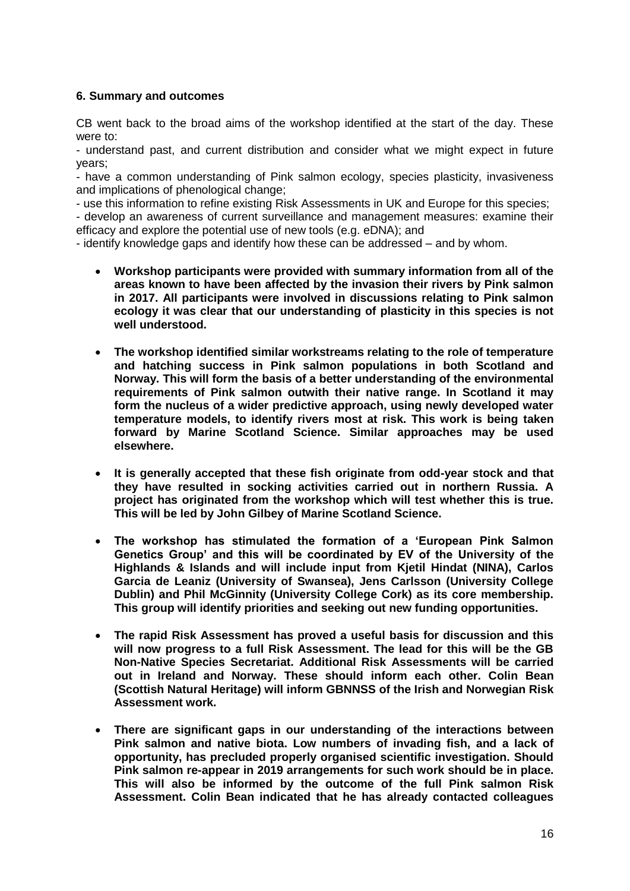## **6. Summary and outcomes**

CB went back to the broad aims of the workshop identified at the start of the day. These were to:

- understand past, and current distribution and consider what we might expect in future years;

- have a common understanding of Pink salmon ecology, species plasticity, invasiveness and implications of phenological change;

- use this information to refine existing Risk Assessments in UK and Europe for this species; - develop an awareness of current surveillance and management measures: examine their efficacy and explore the potential use of new tools (e.g. eDNA); and

- identify knowledge gaps and identify how these can be addressed – and by whom.

- **Workshop participants were provided with summary information from all of the areas known to have been affected by the invasion their rivers by Pink salmon in 2017. All participants were involved in discussions relating to Pink salmon ecology it was clear that our understanding of plasticity in this species is not well understood.**
- **The workshop identified similar workstreams relating to the role of temperature and hatching success in Pink salmon populations in both Scotland and Norway. This will form the basis of a better understanding of the environmental requirements of Pink salmon outwith their native range. In Scotland it may form the nucleus of a wider predictive approach, using newly developed water temperature models, to identify rivers most at risk. This work is being taken forward by Marine Scotland Science. Similar approaches may be used elsewhere.**
- **It is generally accepted that these fish originate from odd-year stock and that they have resulted in socking activities carried out in northern Russia. A project has originated from the workshop which will test whether this is true. This will be led by John Gilbey of Marine Scotland Science.**
- **The workshop has stimulated the formation of a 'European Pink Salmon Genetics Group' and this will be coordinated by EV of the University of the Highlands & Islands and will include input from Kjetil Hindat (NINA), Carlos Garcia de Leaniz (University of Swansea), Jens Carlsson (University College Dublin) and Phil McGinnity (University College Cork) as its core membership. This group will identify priorities and seeking out new funding opportunities.**
- **The rapid Risk Assessment has proved a useful basis for discussion and this will now progress to a full Risk Assessment. The lead for this will be the GB Non-Native Species Secretariat. Additional Risk Assessments will be carried out in Ireland and Norway. These should inform each other. Colin Bean (Scottish Natural Heritage) will inform GBNNSS of the Irish and Norwegian Risk Assessment work.**
- **There are significant gaps in our understanding of the interactions between Pink salmon and native biota. Low numbers of invading fish, and a lack of opportunity, has precluded properly organised scientific investigation. Should Pink salmon re-appear in 2019 arrangements for such work should be in place. This will also be informed by the outcome of the full Pink salmon Risk Assessment. Colin Bean indicated that he has already contacted colleagues**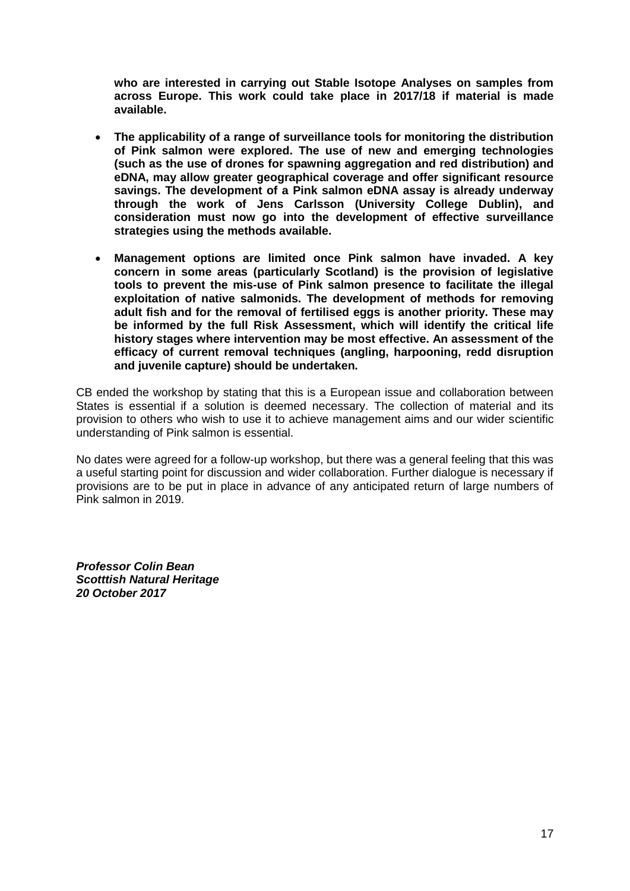**who are interested in carrying out Stable Isotope Analyses on samples from across Europe. This work could take place in 2017/18 if material is made available.**

- **The applicability of a range of surveillance tools for monitoring the distribution of Pink salmon were explored. The use of new and emerging technologies (such as the use of drones for spawning aggregation and red distribution) and eDNA, may allow greater geographical coverage and offer significant resource savings. The development of a Pink salmon eDNA assay is already underway through the work of Jens Carlsson (University College Dublin), and consideration must now go into the development of effective surveillance strategies using the methods available.**
- **Management options are limited once Pink salmon have invaded. A key concern in some areas (particularly Scotland) is the provision of legislative tools to prevent the mis-use of Pink salmon presence to facilitate the illegal exploitation of native salmonids. The development of methods for removing adult fish and for the removal of fertilised eggs is another priority. These may be informed by the full Risk Assessment, which will identify the critical life history stages where intervention may be most effective. An assessment of the efficacy of current removal techniques (angling, harpooning, redd disruption and juvenile capture) should be undertaken.**

CB ended the workshop by stating that this is a European issue and collaboration between States is essential if a solution is deemed necessary. The collection of material and its provision to others who wish to use it to achieve management aims and our wider scientific understanding of Pink salmon is essential.

No dates were agreed for a follow-up workshop, but there was a general feeling that this was a useful starting point for discussion and wider collaboration. Further dialogue is necessary if provisions are to be put in place in advance of any anticipated return of large numbers of Pink salmon in 2019.

*Professor Colin Bean Scotttish Natural Heritage 20 October 2017*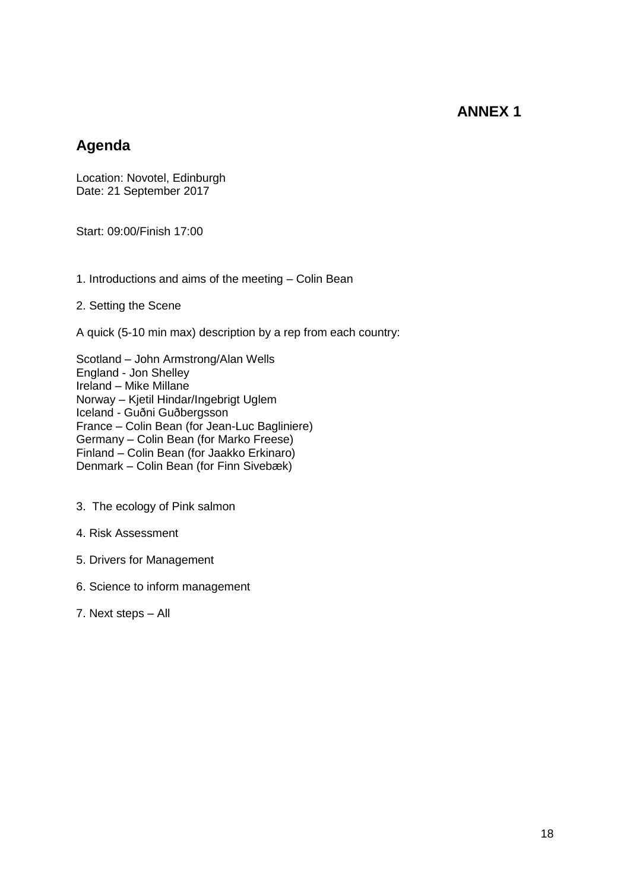## **ANNEX 1**

## **Agenda**

Location: Novotel, Edinburgh Date: 21 September 2017

Start: 09:00/Finish 17:00

1. Introductions and aims of the meeting – Colin Bean

## 2. Setting the Scene

A quick (5-10 min max) description by a rep from each country:

Scotland – John Armstrong/Alan Wells England - Jon Shelley Ireland – Mike Millane Norway – Kjetil Hindar/Ingebrigt Uglem Iceland - Guðni Guðbergsson France – Colin Bean (for Jean-Luc Bagliniere) Germany – Colin Bean (for Marko Freese) Finland – Colin Bean (for Jaakko Erkinaro) Denmark – Colin Bean (for Finn Sivebæk)

- 3. The ecology of Pink salmon
- 4. Risk Assessment
- 5. Drivers for Management
- 6. Science to inform management
- 7. Next steps All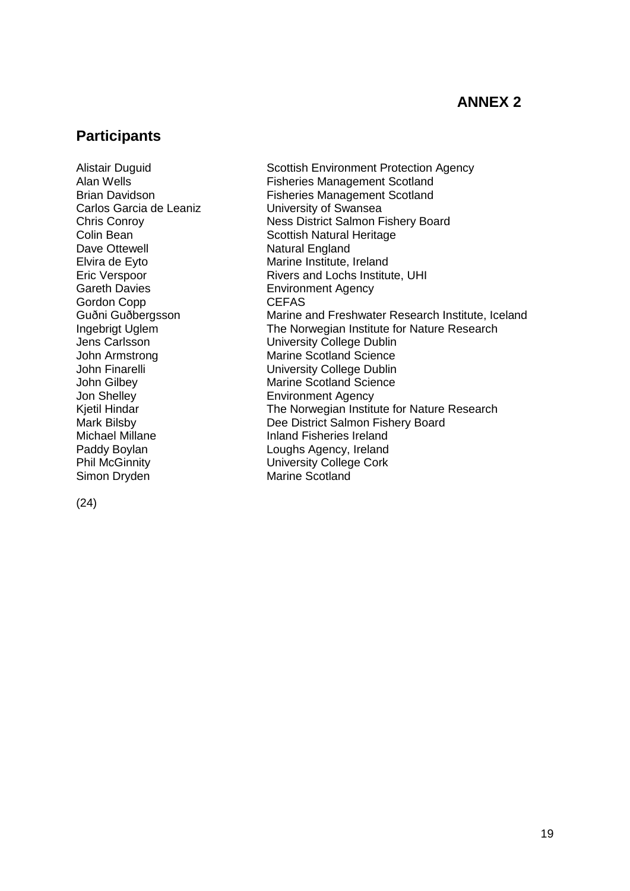# **ANNEX 2**

## **Participants**

Alistair Duguid Scottish Environment Protection Agency Carlos Garcia de Leaniz **University of Swansea** Dave Ottewell **Natural England** Gareth Davies **Environment Agency** Gordon Copp CEFAS Jon Shelley Environment Agency Simon Dryden Marine Scotland

Alan Wells<br>Brian Davidson **Fisheries Management Scotland**<br>Fisheries Management Scotland Fisheries Management Scotland Chris Conroy Ness District Salmon Fishery Board **Colin Bean** Scottish Natural Heritage Elvira de Eyto<br>
Eric Verspoor<br>
Eric Verspoor<br>
Marine Institute, Ireland Rivers and Lochs Institute, UHI Guðni Guðbergsson Marine and Freshwater Research Institute, Iceland Ingebrigt Uglem The Norwegian Institute for Nature Research Jens Carlsson University College Dublin John Armstrong Marine Scotland Science<br>John Finarelli Marine Scotland Science<br>University College Dublin **University College Dublin** John Gilbey Marine Scotland Science Kjetil Hindar The Norwegian Institute for Nature Research Mark Bilsby Dee District Salmon Fishery Board Michael Millane **Inland Fisheries Ireland** Paddy Boylan **Loughs Agency, Ireland** Phil McGinnity University College Cork